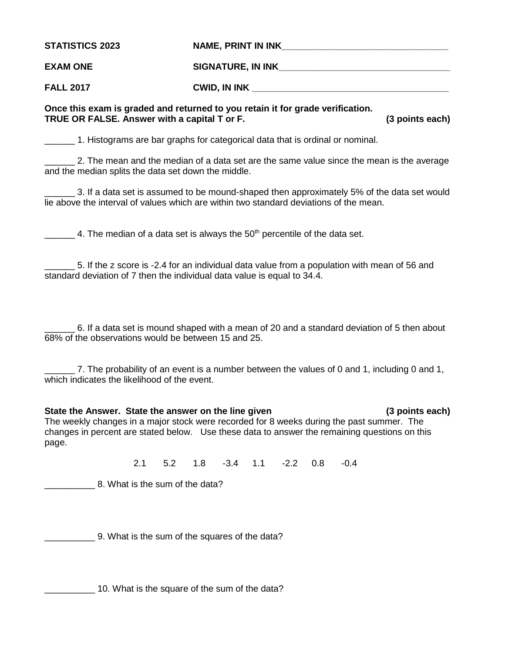**STATISTICS 2023 NAME, PRINT IN INK\_\_\_\_\_\_\_\_\_\_\_\_\_\_\_\_\_\_\_\_\_\_\_\_\_\_\_\_\_\_\_\_\_ EXAM ONE SIGNATURE, IN INK\_\_\_\_\_\_\_\_\_\_\_\_\_\_\_\_\_\_\_\_\_\_\_\_\_\_\_\_\_\_\_\_\_\_**

**FALL 2017 CWID, IN INK** 

## **Once this exam is graded and returned to you retain it for grade verification. TRUE OR FALSE. Answer with a capital T or F. (3 points each)**

1. Histograms are bar graphs for categorical data that is ordinal or nominal.

\_\_\_\_\_\_ 2. The mean and the median of a data set are the same value since the mean is the average and the median splits the data set down the middle.

\_\_\_\_\_\_ 3. If a data set is assumed to be mound-shaped then approximately 5% of the data set would lie above the interval of values which are within two standard deviations of the mean.

4. The median of a data set is always the  $50<sup>th</sup>$  percentile of the data set.

\_\_\_\_\_\_ 5. If the z score is -2.4 for an individual data value from a population with mean of 56 and standard deviation of 7 then the individual data value is equal to 34.4.

\_\_\_\_\_\_ 6. If a data set is mound shaped with a mean of 20 and a standard deviation of 5 then about 68% of the observations would be between 15 and 25.

7. The probability of an event is a number between the values of 0 and 1, including 0 and 1, which indicates the likelihood of the event.

## **State the Answer. State the answer on the line given (3 points each)**

The weekly changes in a major stock were recorded for 8 weeks during the past summer. The changes in percent are stated below. Use these data to answer the remaining questions on this page.

2.1 5.2 1.8 -3.4 1.1 -2.2 0.8 -0.4

8. What is the sum of the data?

\_\_\_\_\_\_\_\_\_\_ 9. What is the sum of the squares of the data?

\_\_\_\_\_\_\_\_\_\_ 10. What is the square of the sum of the data?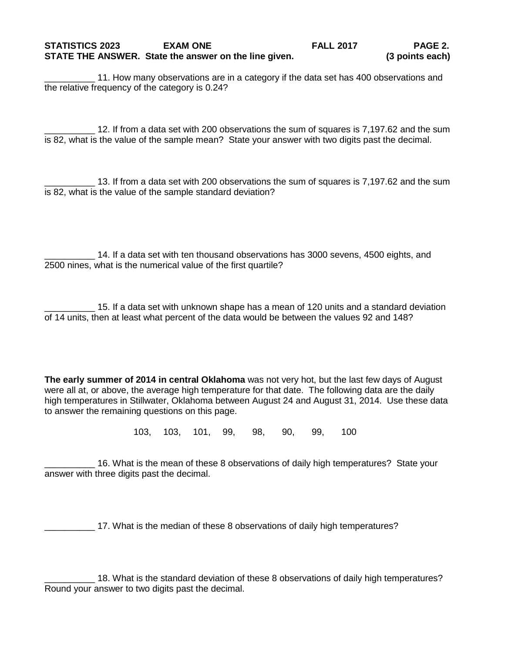11. How many observations are in a category if the data set has 400 observations and the relative frequency of the category is 0.24?

\_\_\_\_\_\_\_\_\_\_ 12. If from a data set with 200 observations the sum of squares is 7,197.62 and the sum is 82, what is the value of the sample mean? State your answer with two digits past the decimal.

\_\_\_\_\_\_\_\_\_\_ 13. If from a data set with 200 observations the sum of squares is 7,197.62 and the sum is 82, what is the value of the sample standard deviation?

14. If a data set with ten thousand observations has 3000 sevens, 4500 eights, and 2500 nines, what is the numerical value of the first quartile?

\_\_\_\_\_\_\_\_\_\_ 15. If a data set with unknown shape has a mean of 120 units and a standard deviation of 14 units, then at least what percent of the data would be between the values 92 and 148?

**The early summer of 2014 in central Oklahoma** was not very hot, but the last few days of August were all at, or above, the average high temperature for that date. The following data are the daily high temperatures in Stillwater, Oklahoma between August 24 and August 31, 2014. Use these data to answer the remaining questions on this page.

103, 103, 101, 99, 98, 90, 99, 100

16. What is the mean of these 8 observations of daily high temperatures? State your answer with three digits past the decimal.

\_\_\_\_\_\_\_\_\_\_ 17. What is the median of these 8 observations of daily high temperatures?

18. What is the standard deviation of these 8 observations of daily high temperatures? Round your answer to two digits past the decimal.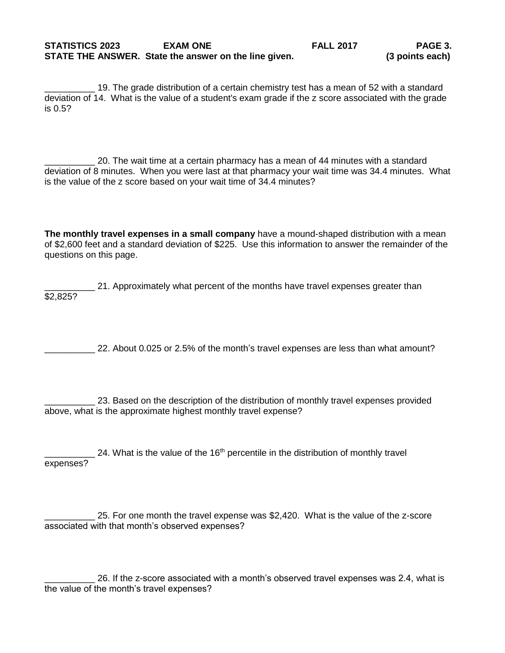19. The grade distribution of a certain chemistry test has a mean of 52 with a standard deviation of 14. What is the value of a student's exam grade if the z score associated with the grade is 0.5?

\_\_\_\_\_\_\_\_\_\_ 20. The wait time at a certain pharmacy has a mean of 44 minutes with a standard deviation of 8 minutes. When you were last at that pharmacy your wait time was 34.4 minutes. What is the value of the z score based on your wait time of 34.4 minutes?

**The monthly travel expenses in a small company** have a mound-shaped distribution with a mean of \$2,600 feet and a standard deviation of \$225. Use this information to answer the remainder of the questions on this page.

21. Approximately what percent of the months have travel expenses greater than \$2,825?

\_\_\_\_\_\_\_\_\_\_ 22. About 0.025 or 2.5% of the month's travel expenses are less than what amount?

23. Based on the description of the distribution of monthly travel expenses provided above, what is the approximate highest monthly travel expense?

24. What is the value of the  $16<sup>th</sup>$  percentile in the distribution of monthly travel expenses?

\_\_\_\_\_\_\_\_\_\_ 25. For one month the travel expense was \$2,420. What is the value of the z-score associated with that month's observed expenses?

\_\_\_\_\_\_\_\_\_\_ 26. If the z-score associated with a month's observed travel expenses was 2.4, what is the value of the month's travel expenses?